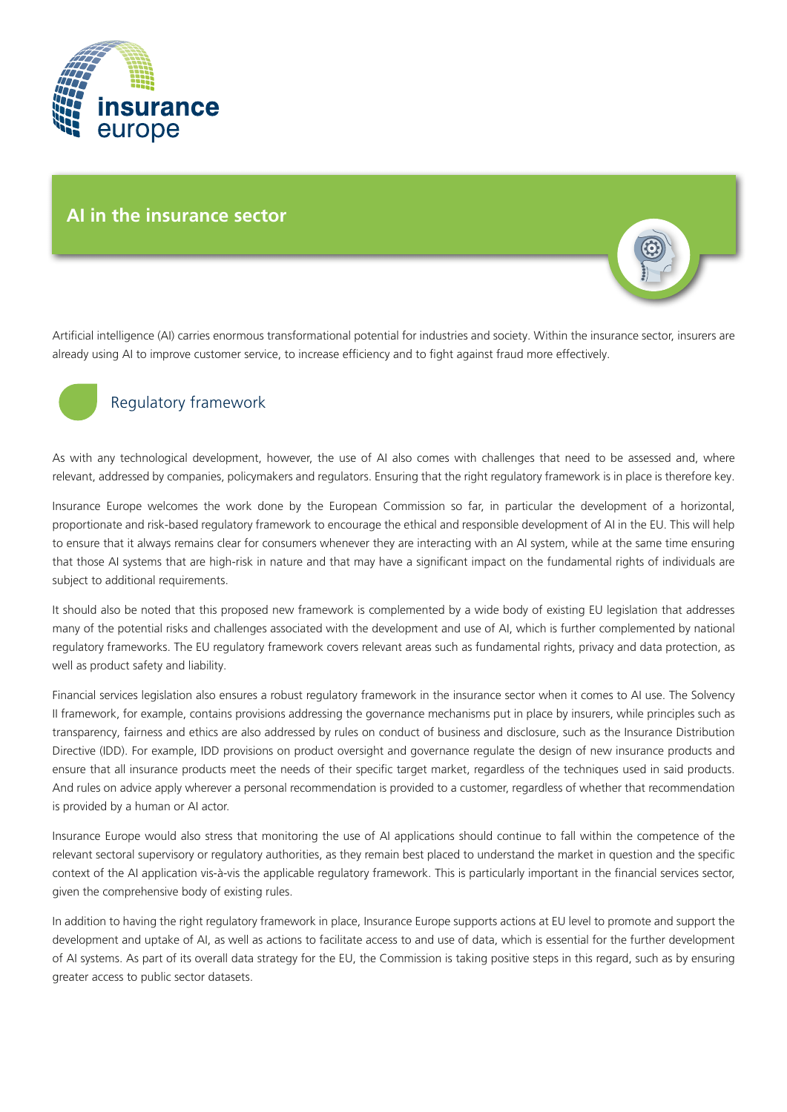

# **AI in the insurance sector**

Artificial intelligence (AI) carries enormous transformational potential for industries and society. Within the insurance sector, insurers are already using AI to improve customer service, to increase efficiency and to fight against fraud more effectively.



# Regulatory framework

As with any technological development, however, the use of AI also comes with challenges that need to be assessed and, where relevant, addressed by companies, policymakers and regulators. Ensuring that the right regulatory framework is in place is therefore key.

Insurance Europe welcomes the work done by the European Commission so far, in particular the development of a horizontal, proportionate and risk-based regulatory framework to encourage the ethical and responsible development of AI in the EU. This will help to ensure that it always remains clear for consumers whenever they are interacting with an AI system, while at the same time ensuring that those AI systems that are high-risk in nature and that may have a significant impact on the fundamental rights of individuals are subject to additional requirements.

It should also be noted that this proposed new framework is complemented by a wide body of existing EU legislation that addresses many of the potential risks and challenges associated with the development and use of AI, which is further complemented by national regulatory frameworks. The EU regulatory framework covers relevant areas such as fundamental rights, privacy and data protection, as well as product safety and liability.

Financial services legislation also ensures a robust regulatory framework in the insurance sector when it comes to AI use. The Solvency II framework, for example, contains provisions addressing the governance mechanisms put in place by insurers, while principles such as transparency, fairness and ethics are also addressed by rules on conduct of business and disclosure, such as the Insurance Distribution Directive (IDD). For example, IDD provisions on product oversight and governance regulate the design of new insurance products and ensure that all insurance products meet the needs of their specific target market, regardless of the techniques used in said products. And rules on advice apply wherever a personal recommendation is provided to a customer, regardless of whether that recommendation is provided by a human or AI actor.

Insurance Europe would also stress that monitoring the use of AI applications should continue to fall within the competence of the relevant sectoral supervisory or regulatory authorities, as they remain best placed to understand the market in question and the specific context of the AI application vis-à-vis the applicable regulatory framework. This is particularly important in the financial services sector, given the comprehensive body of existing rules.

In addition to having the right regulatory framework in place, Insurance Europe supports actions at EU level to promote and support the development and uptake of AI, as well as actions to facilitate access to and use of data, which is essential for the further development of AI systems. As part of its overall data strategy for the EU, the Commission is taking positive steps in this regard, such as by ensuring greater access to public sector datasets.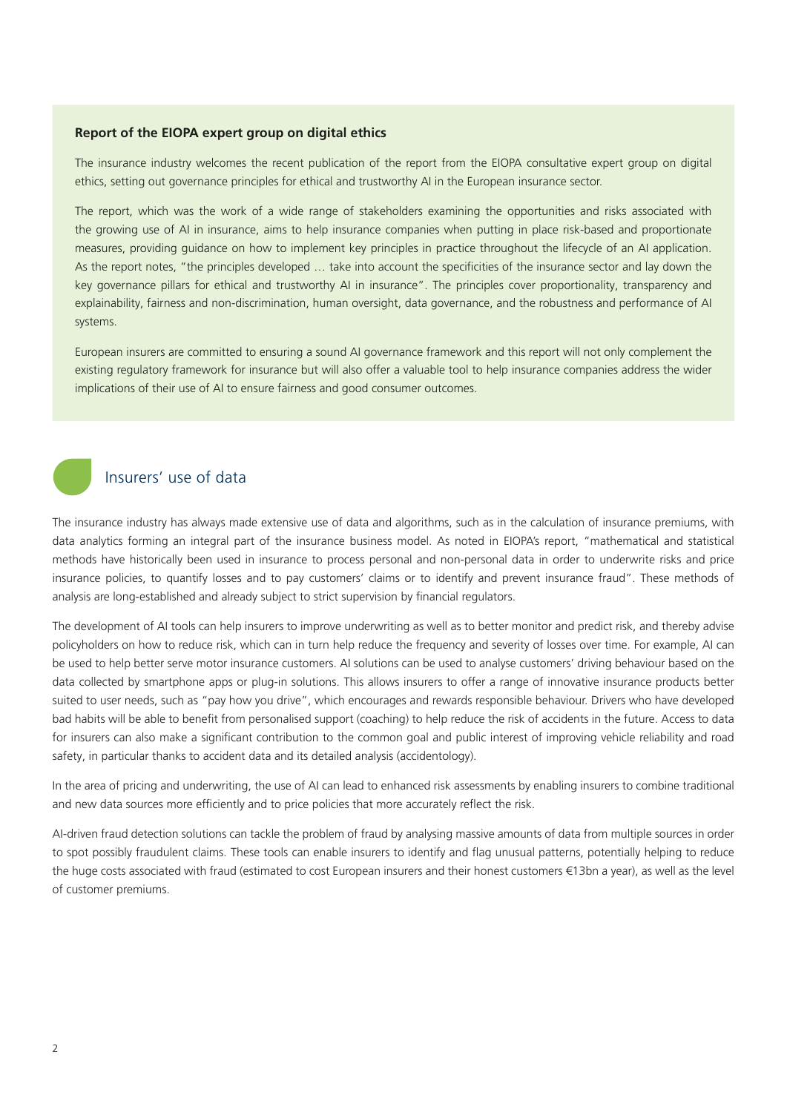### **Report of the EIOPA expert group on digital ethics**

The insurance industry welcomes the recent publication of the report from the EIOPA consultative expert group on digital ethics, setting out governance principles for ethical and trustworthy AI in the European insurance sector.

The report, which was the work of a wide range of stakeholders examining the opportunities and risks associated with the growing use of AI in insurance, aims to help insurance companies when putting in place risk-based and proportionate measures, providing guidance on how to implement key principles in practice throughout the lifecycle of an AI application. As the report notes, "the principles developed … take into account the specificities of the insurance sector and lay down the key governance pillars for ethical and trustworthy AI in insurance". The principles cover proportionality, transparency and explainability, fairness and non-discrimination, human oversight, data governance, and the robustness and performance of AI systems.

European insurers are committed to ensuring a sound AI governance framework and this report will not only complement the existing regulatory framework for insurance but will also offer a valuable tool to help insurance companies address the wider implications of their use of AI to ensure fairness and good consumer outcomes.



## Insurers' use of data

The insurance industry has always made extensive use of data and algorithms, such as in the calculation of insurance premiums, with data analytics forming an integral part of the insurance business model. As noted in EIOPA's report, "mathematical and statistical methods have historically been used in insurance to process personal and non-personal data in order to underwrite risks and price insurance policies, to quantify losses and to pay customers' claims or to identify and prevent insurance fraud". These methods of analysis are long-established and already subject to strict supervision by financial regulators.

The development of AI tools can help insurers to improve underwriting as well as to better monitor and predict risk, and thereby advise policyholders on how to reduce risk, which can in turn help reduce the frequency and severity of losses over time. For example, AI can be used to help better serve motor insurance customers. AI solutions can be used to analyse customers' driving behaviour based on the data collected by smartphone apps or plug-in solutions. This allows insurers to offer a range of innovative insurance products better suited to user needs, such as "pay how you drive", which encourages and rewards responsible behaviour. Drivers who have developed bad habits will be able to benefit from personalised support (coaching) to help reduce the risk of accidents in the future. Access to data for insurers can also make a significant contribution to the common goal and public interest of improving vehicle reliability and road safety, in particular thanks to accident data and its detailed analysis (accidentology).

In the area of pricing and underwriting, the use of AI can lead to enhanced risk assessments by enabling insurers to combine traditional and new data sources more efficiently and to price policies that more accurately reflect the risk.

AI-driven fraud detection solutions can tackle the problem of fraud by analysing massive amounts of data from multiple sources in order to spot possibly fraudulent claims. These tools can enable insurers to identify and flag unusual patterns, potentially helping to reduce the huge costs associated with fraud (estimated to cost European insurers and their honest customers €13bn a year), as well as the level of customer premiums.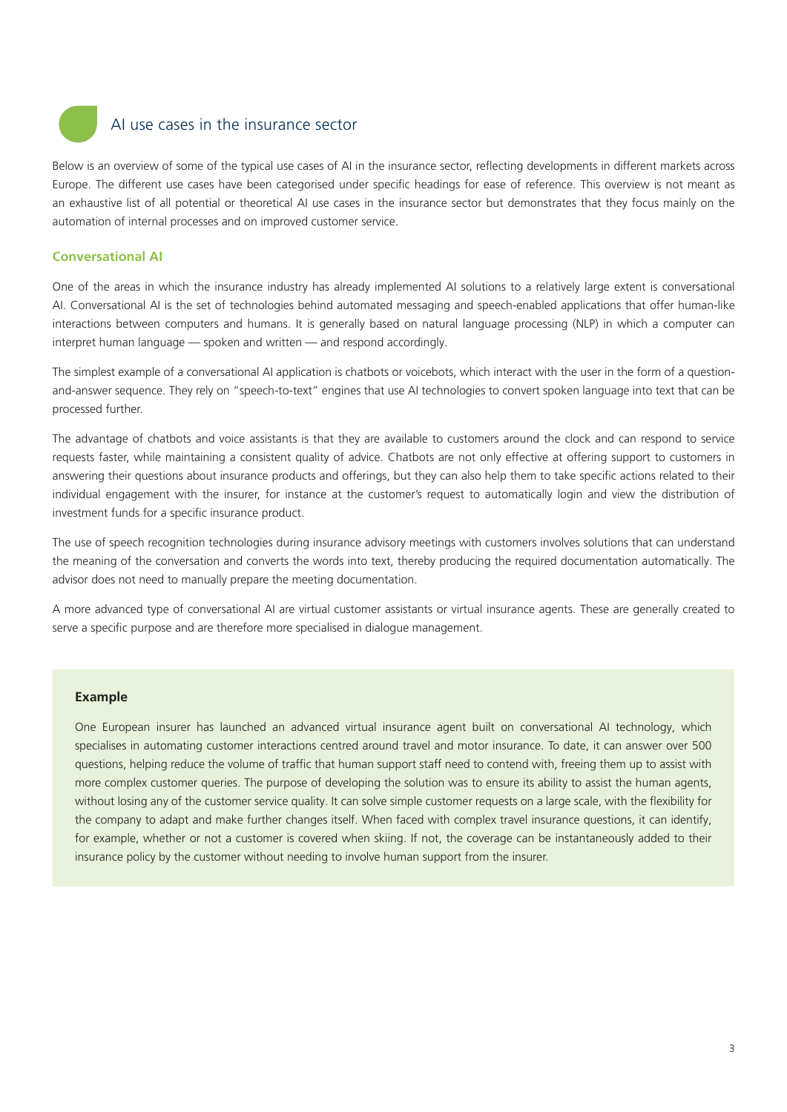

## AI use cases in the insurance sector

Below is an overview of some of the typical use cases of AI in the insurance sector, reflecting developments in different markets across Europe. The different use cases have been categorised under specific headings for ease of reference. This overview is not meant as an exhaustive list of all potential or theoretical AI use cases in the insurance sector but demonstrates that they focus mainly on the automation of internal processes and on improved customer service.

## **Conversational AI**

One of the areas in which the insurance industry has already implemented AI solutions to a relatively large extent is conversational AI. Conversational AI is the set of technologies behind automated messaging and speech-enabled applications that offer human-like interactions between computers and humans. It is generally based on natural language processing (NLP) in which a computer can interpret human language — spoken and written — and respond accordingly.

The simplest example of a conversational AI application is chatbots or voicebots, which interact with the user in the form of a questionand-answer sequence. They rely on "speech-to-text" engines that use AI technologies to convert spoken language into text that can be processed further.

The advantage of chatbots and voice assistants is that they are available to customers around the clock and can respond to service requests faster, while maintaining a consistent quality of advice. Chatbots are not only effective at offering support to customers in answering their questions about insurance products and offerings, but they can also help them to take specific actions related to their individual engagement with the insurer, for instance at the customer's request to automatically login and view the distribution of investment funds for a specific insurance product.

The use of speech recognition technologies during insurance advisory meetings with customers involves solutions that can understand the meaning of the conversation and converts the words into text, thereby producing the required documentation automatically. The advisor does not need to manually prepare the meeting documentation.

A more advanced type of conversational AI are virtual customer assistants or virtual insurance agents. These are generally created to serve a specific purpose and are therefore more specialised in dialogue management.

#### **Example**

One European insurer has launched an advanced virtual insurance agent built on conversational AI technology, which specialises in automating customer interactions centred around travel and motor insurance. To date, it can answer over 500 questions, helping reduce the volume of traffic that human support staff need to contend with, freeing them up to assist with more complex customer queries. The purpose of developing the solution was to ensure its ability to assist the human agents, without losing any of the customer service quality. It can solve simple customer requests on a large scale, with the flexibility for the company to adapt and make further changes itself. When faced with complex travel insurance questions, it can identify, for example, whether or not a customer is covered when skiing. If not, the coverage can be instantaneously added to their insurance policy by the customer without needing to involve human support from the insurer.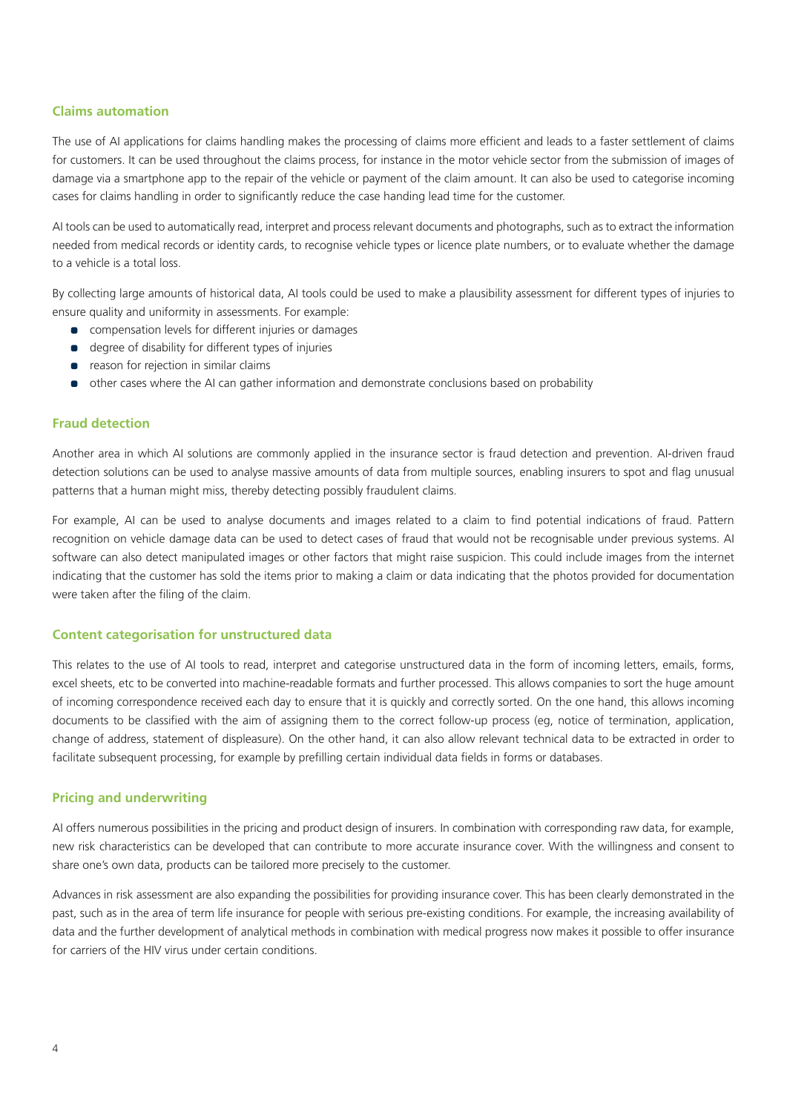## **Claims automation**

The use of AI applications for claims handling makes the processing of claims more efficient and leads to a faster settlement of claims for customers. It can be used throughout the claims process, for instance in the motor vehicle sector from the submission of images of damage via a smartphone app to the repair of the vehicle or payment of the claim amount. It can also be used to categorise incoming cases for claims handling in order to significantly reduce the case handing lead time for the customer.

AI tools can be used to automatically read, interpret and process relevant documents and photographs, such as to extract the information needed from medical records or identity cards, to recognise vehicle types or licence plate numbers, or to evaluate whether the damage to a vehicle is a total loss.

By collecting large amounts of historical data, AI tools could be used to make a plausibility assessment for different types of injuries to ensure quality and uniformity in assessments. For example:

- compensation levels for different injuries or damages
- degree of disability for different types of injuries
- **•** reason for rejection in similar claims
- other cases where the AI can gather information and demonstrate conclusions based on probability

## **Fraud detection**

Another area in which AI solutions are commonly applied in the insurance sector is fraud detection and prevention. AI-driven fraud detection solutions can be used to analyse massive amounts of data from multiple sources, enabling insurers to spot and flag unusual patterns that a human might miss, thereby detecting possibly fraudulent claims.

For example, AI can be used to analyse documents and images related to a claim to find potential indications of fraud. Pattern recognition on vehicle damage data can be used to detect cases of fraud that would not be recognisable under previous systems. AI software can also detect manipulated images or other factors that might raise suspicion. This could include images from the internet indicating that the customer has sold the items prior to making a claim or data indicating that the photos provided for documentation were taken after the filing of the claim.

## **Content categorisation for unstructured data**

This relates to the use of AI tools to read, interpret and categorise unstructured data in the form of incoming letters, emails, forms, excel sheets, etc to be converted into machine-readable formats and further processed. This allows companies to sort the huge amount of incoming correspondence received each day to ensure that it is quickly and correctly sorted. On the one hand, this allows incoming documents to be classified with the aim of assigning them to the correct follow-up process (eg, notice of termination, application, change of address, statement of displeasure). On the other hand, it can also allow relevant technical data to be extracted in order to facilitate subsequent processing, for example by prefilling certain individual data fields in forms or databases.

## **Pricing and underwriting**

AI offers numerous possibilities in the pricing and product design of insurers. In combination with corresponding raw data, for example, new risk characteristics can be developed that can contribute to more accurate insurance cover. With the willingness and consent to share one's own data, products can be tailored more precisely to the customer.

Advances in risk assessment are also expanding the possibilities for providing insurance cover. This has been clearly demonstrated in the past, such as in the area of term life insurance for people with serious pre-existing conditions. For example, the increasing availability of data and the further development of analytical methods in combination with medical progress now makes it possible to offer insurance for carriers of the HIV virus under certain conditions.